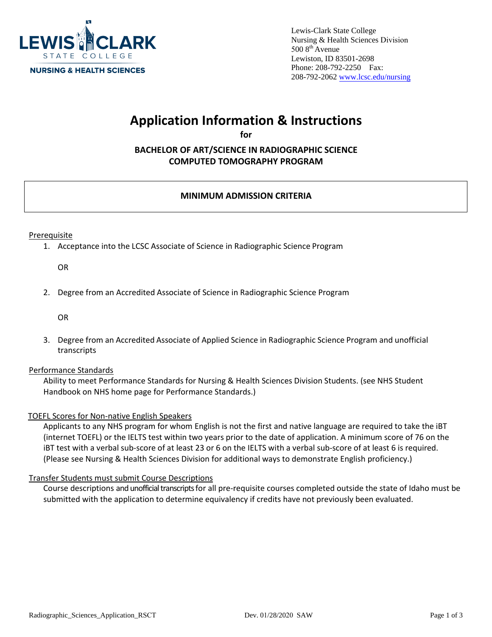

Lewis-Clark State College Nursing & Health Sciences Division  $5008^{\text{th}}$  Avenue Lewiston, ID 83501-2698 Phone: 208-792-2250 Fax: [208-792-2062](http://www.lcsc.edu/nursing) www.lcsc.edu/nursing

# **Application Information & Instructions**

**for** 

**BACHELOR OF ART/SCIENCE IN RADIOGRAPHIC SCIENCE COMPUTED TOMOGRAPHY PROGRAM**

# **MINIMUM ADMISSION CRITERIA**

Prerequisite

1. Acceptance into the LCSC Associate of Science in Radiographic Science Program

OR

2. Degree from an Accredited Associate of Science in Radiographic Science Program

OR

3. Degree from an Accredited Associate of Applied Science in Radiographic Science Program and unofficial transcripts

## Performance Standards

Ability to meet Performance Standards for Nursing & Health Sciences Division Students. (see NHS Student Handbook on NHS home page for Performance Standards.)

## TOEFL Scores for Non‐native English Speakers

Applicants to any NHS program for whom English is not the first and native language are required to take the iBT (internet TOEFL) or the IELTS test within two years prior to the date of application. A minimum score of 76 on the iBT test with a verbal sub‐score of at least 23 or 6 on the IELTS with a verbal sub‐score of at least 6 is required. (Please see Nursing & Health Sciences Division for additional ways to demonstrate English proficiency.)

#### Transfer Students must submit Course Descriptions

Course descriptions and unofficial transcripts for all pre‐requisite courses completed outside the state of Idaho must be submitted with the application to determine equivalency if credits have not previously been evaluated.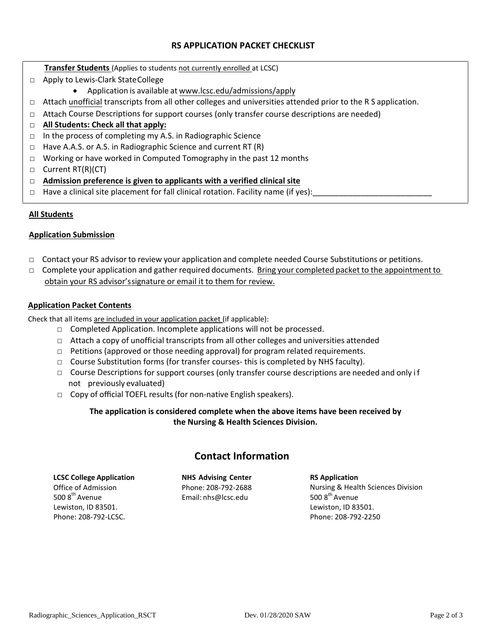# **RS APPLICATION PACKET CHECKLIST**

**Transfer Students** (Applies to students not currently enrolled at LCSC)

- □ Apply to Lewis-Clark State College
	- Application is available at www.lcsc.edu/admissions/apply
- □ Attach unofficial transcripts from all [other colleges and universiti](http://www.lcsc.edu/admissions)es attended prior to the R S application.
- $\Box$  Attach Course Descriptions for support courses (only transfer course descriptions are needed)
- □ **All Students: Check all that apply:**
- □ In the process of completing my A.S. in Radiographic Science
- □ Have A.A.S. or A.S. in Radiographic Science and current RT (R)
- □ Working or have worked in Computed Tomography in the past 12 months
- □ Current RT(R)(CT)
- □ **Admission preference is given to applicants with a verified clinical site**
- $\Box$  Have a clinical site placement for fall clinical rotation. Facility name (if yes):

## **All Students**

#### **Application Submission**

- □ Contact your RS advisor to review your application and complete needed Course Substitutions or petitions.
- □ Complete your application and gather required documents. Bring your completed packet to the appointment to obtain your RS advisor'ssignature or email it to them for review.

## **Application Packet Contents**

Check that all items are included in your application packet (if applicable):

- $\Box$  Completed Application. Incomplete applications will not be processed.
- □ Attach a copy of unofficial transcripts from all other colleges and universities attended
- $\Box$  Petitions (approved or those needing approval) for program related requirements.
- $\Box$  Course Substitution forms (for transfer courses- this is completed by NHS faculty).
- $\Box$  Course Descriptions for support courses (only transfer course descriptions are needed and only if not previously evaluated)
- □ Copy of official TOEFL results (for non-native English speakers).

# **The application is considered complete when the above items have been received by the Nursing & Health Sciences Division.**

# **Contact Information**

| <b>LCSC College Application</b> |
|---------------------------------|
| Office of Admission             |
| 500 8 <sup>th</sup> Avenue      |
| Lewiston, ID 83501.             |
| Phone: 208-792-LCSC.            |

**NHS Advising Center**  Phone: 208‐792‐2688 Email: [nhs@lcsc.edu](mailto:nhs@lcsc.edu)

**RS Application**  Nursing & Health Sciences Division 500  $8<sup>th</sup>$  Avenue Lewiston, ID 83501. Phone: 208‐792‐2250